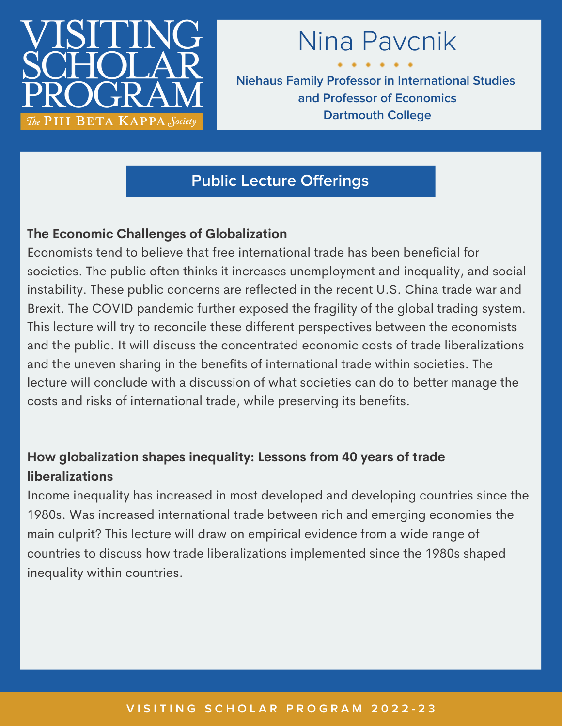

# Nina Pavcnik

**Niehaus Family Professor in International Studies and Professor of Economics Dartmouth College**

# **Public Lecture Offerings**

### **The Economic Challenges of Globalization**

Economists tend to believe that free international trade has been beneficial for societies. The public often thinks it increases unemployment and inequality, and social instability. These public concerns are reflected in the recent U.S. China trade war and Brexit. The COVID pandemic further exposed the fragility of the global trading system. This lecture will try to reconcile these different perspectives between the economists and the public. It will discuss the concentrated economic costs of trade liberalizations and the uneven sharing in the benefits of international trade within societies. The lecture will conclude with a discussion of what societies can do to better manage the costs and risks of international trade, while preserving its benefits.

## **How globalization shapes inequality: Lessons from 40 years of trade liberalizations**

Income inequality has increased in most developed and developing countries since the 1980s. Was increased international trade between rich and emerging economies the main culprit? This lecture will draw on empirical evidence from a wide range of countries to discuss how trade liberalizations implemented since the 1980s shaped inequality within countries.

#### VISITING SCHOLAR PROGRAM 2022-23